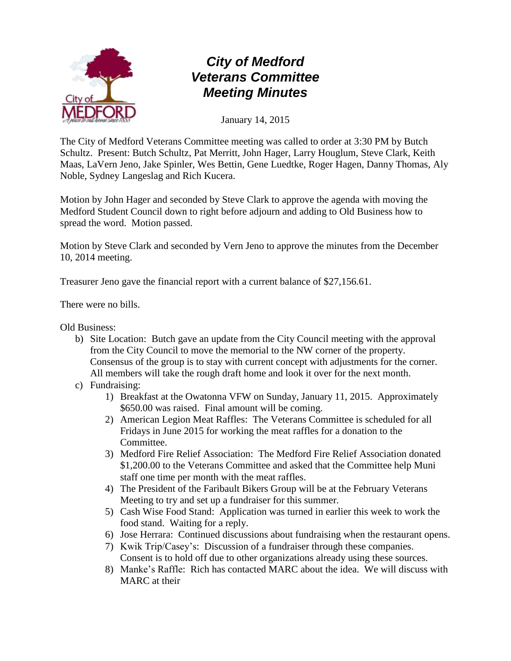

January 14, 2015

The City of Medford Veterans Committee meeting was called to order at 3:30 PM by Butch Schultz. Present: Butch Schultz, Pat Merritt, John Hager, Larry Houglum, Steve Clark, Keith Maas, LaVern Jeno, Jake Spinler, Wes Bettin, Gene Luedtke, Roger Hagen, Danny Thomas, Aly Noble, Sydney Langeslag and Rich Kucera.

Motion by John Hager and seconded by Steve Clark to approve the agenda with moving the Medford Student Council down to right before adjourn and adding to Old Business how to spread the word. Motion passed.

Motion by Steve Clark and seconded by Vern Jeno to approve the minutes from the December 10, 2014 meeting.

Treasurer Jeno gave the financial report with a current balance of \$27,156.61.

There were no bills.

Old Business:

- b) Site Location: Butch gave an update from the City Council meeting with the approval from the City Council to move the memorial to the NW corner of the property. Consensus of the group is to stay with current concept with adjustments for the corner. All members will take the rough draft home and look it over for the next month.
- c) Fundraising:
	- 1) Breakfast at the Owatonna VFW on Sunday, January 11, 2015. Approximately \$650.00 was raised. Final amount will be coming.
	- 2) American Legion Meat Raffles: The Veterans Committee is scheduled for all Fridays in June 2015 for working the meat raffles for a donation to the Committee.
	- 3) Medford Fire Relief Association: The Medford Fire Relief Association donated \$1,200.00 to the Veterans Committee and asked that the Committee help Muni staff one time per month with the meat raffles.
	- 4) The President of the Faribault Bikers Group will be at the February Veterans Meeting to try and set up a fundraiser for this summer.
	- 5) Cash Wise Food Stand: Application was turned in earlier this week to work the food stand. Waiting for a reply.
	- 6) Jose Herrara: Continued discussions about fundraising when the restaurant opens.
	- 7) Kwik Trip/Casey's: Discussion of a fundraiser through these companies. Consent is to hold off due to other organizations already using these sources.
	- 8) Manke's Raffle: Rich has contacted MARC about the idea. We will discuss with MARC at their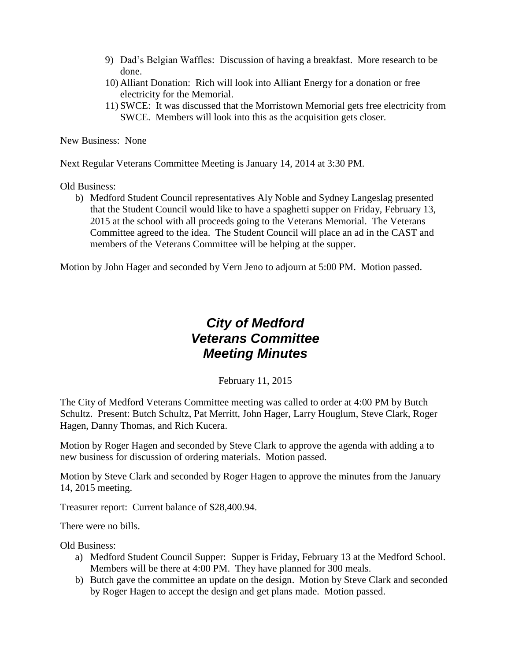- 9) Dad's Belgian Waffles: Discussion of having a breakfast. More research to be done.
- 10) Alliant Donation: Rich will look into Alliant Energy for a donation or free electricity for the Memorial.
- 11) SWCE: It was discussed that the Morristown Memorial gets free electricity from SWCE. Members will look into this as the acquisition gets closer.

New Business: None

Next Regular Veterans Committee Meeting is January 14, 2014 at 3:30 PM.

Old Business:

b) Medford Student Council representatives Aly Noble and Sydney Langeslag presented that the Student Council would like to have a spaghetti supper on Friday, February 13, 2015 at the school with all proceeds going to the Veterans Memorial. The Veterans Committee agreed to the idea. The Student Council will place an ad in the CAST and members of the Veterans Committee will be helping at the supper.

Motion by John Hager and seconded by Vern Jeno to adjourn at 5:00 PM. Motion passed.

# *City of Medford Veterans Committee Meeting Minutes*

February 11, 2015

The City of Medford Veterans Committee meeting was called to order at 4:00 PM by Butch Schultz. Present: Butch Schultz, Pat Merritt, John Hager, Larry Houglum, Steve Clark, Roger Hagen, Danny Thomas, and Rich Kucera.

Motion by Roger Hagen and seconded by Steve Clark to approve the agenda with adding a to new business for discussion of ordering materials. Motion passed.

Motion by Steve Clark and seconded by Roger Hagen to approve the minutes from the January 14, 2015 meeting.

Treasurer report: Current balance of \$28,400.94.

There were no bills.

Old Business:

- a) Medford Student Council Supper: Supper is Friday, February 13 at the Medford School. Members will be there at 4:00 PM. They have planned for 300 meals.
- b) Butch gave the committee an update on the design. Motion by Steve Clark and seconded by Roger Hagen to accept the design and get plans made. Motion passed.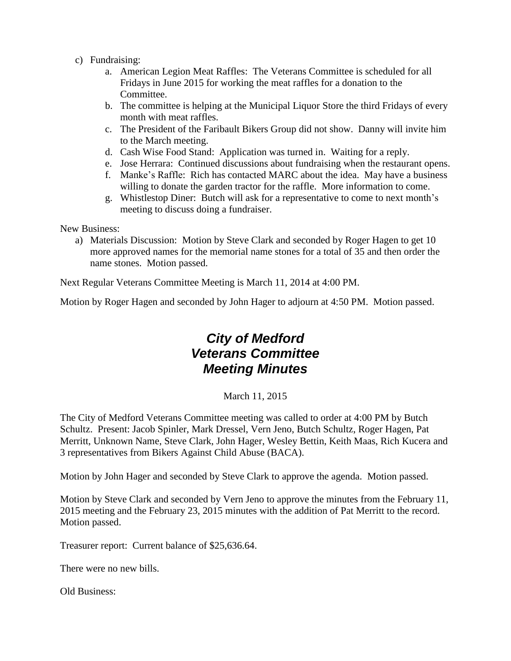- c) Fundraising:
	- a. American Legion Meat Raffles: The Veterans Committee is scheduled for all Fridays in June 2015 for working the meat raffles for a donation to the Committee.
	- b. The committee is helping at the Municipal Liquor Store the third Fridays of every month with meat raffles.
	- c. The President of the Faribault Bikers Group did not show. Danny will invite him to the March meeting.
	- d. Cash Wise Food Stand: Application was turned in. Waiting for a reply.
	- e. Jose Herrara: Continued discussions about fundraising when the restaurant opens.
	- f. Manke's Raffle: Rich has contacted MARC about the idea. May have a business willing to donate the garden tractor for the raffle. More information to come.
	- g. Whistlestop Diner: Butch will ask for a representative to come to next month's meeting to discuss doing a fundraiser.

New Business:

a) Materials Discussion: Motion by Steve Clark and seconded by Roger Hagen to get 10 more approved names for the memorial name stones for a total of 35 and then order the name stones. Motion passed.

Next Regular Veterans Committee Meeting is March 11, 2014 at 4:00 PM.

Motion by Roger Hagen and seconded by John Hager to adjourn at 4:50 PM. Motion passed.

## *City of Medford Veterans Committee Meeting Minutes*

#### March 11, 2015

The City of Medford Veterans Committee meeting was called to order at 4:00 PM by Butch Schultz. Present: Jacob Spinler, Mark Dressel, Vern Jeno, Butch Schultz, Roger Hagen, Pat Merritt, Unknown Name, Steve Clark, John Hager, Wesley Bettin, Keith Maas, Rich Kucera and 3 representatives from Bikers Against Child Abuse (BACA).

Motion by John Hager and seconded by Steve Clark to approve the agenda. Motion passed.

Motion by Steve Clark and seconded by Vern Jeno to approve the minutes from the February 11, 2015 meeting and the February 23, 2015 minutes with the addition of Pat Merritt to the record. Motion passed.

Treasurer report: Current balance of \$25,636.64.

There were no new bills.

Old Business: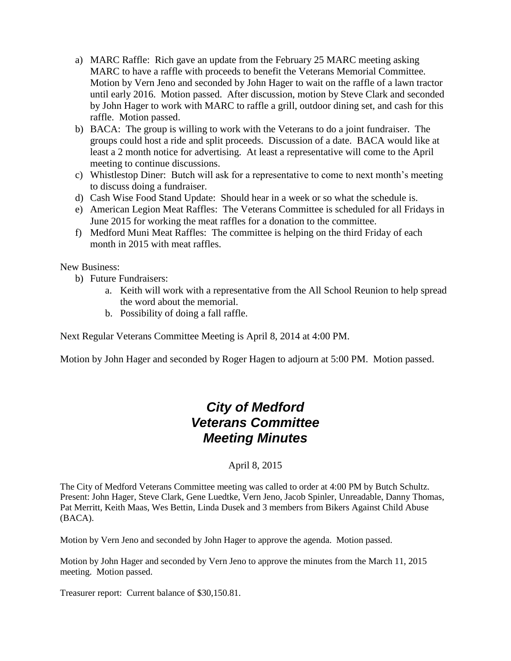- a) MARC Raffle: Rich gave an update from the February 25 MARC meeting asking MARC to have a raffle with proceeds to benefit the Veterans Memorial Committee. Motion by Vern Jeno and seconded by John Hager to wait on the raffle of a lawn tractor until early 2016. Motion passed. After discussion, motion by Steve Clark and seconded by John Hager to work with MARC to raffle a grill, outdoor dining set, and cash for this raffle. Motion passed.
- b) BACA: The group is willing to work with the Veterans to do a joint fundraiser. The groups could host a ride and split proceeds. Discussion of a date. BACA would like at least a 2 month notice for advertising. At least a representative will come to the April meeting to continue discussions.
- c) Whistlestop Diner: Butch will ask for a representative to come to next month's meeting to discuss doing a fundraiser.
- d) Cash Wise Food Stand Update: Should hear in a week or so what the schedule is.
- e) American Legion Meat Raffles: The Veterans Committee is scheduled for all Fridays in June 2015 for working the meat raffles for a donation to the committee.
- f) Medford Muni Meat Raffles: The committee is helping on the third Friday of each month in 2015 with meat raffles.

New Business:

- b) Future Fundraisers:
	- a. Keith will work with a representative from the All School Reunion to help spread the word about the memorial.
	- b. Possibility of doing a fall raffle.

Next Regular Veterans Committee Meeting is April 8, 2014 at 4:00 PM.

Motion by John Hager and seconded by Roger Hagen to adjourn at 5:00 PM. Motion passed.

#### *City of Medford Veterans Committee Meeting Minutes*

April 8, 2015

The City of Medford Veterans Committee meeting was called to order at 4:00 PM by Butch Schultz. Present: John Hager, Steve Clark, Gene Luedtke, Vern Jeno, Jacob Spinler, Unreadable, Danny Thomas, Pat Merritt, Keith Maas, Wes Bettin, Linda Dusek and 3 members from Bikers Against Child Abuse (BACA).

Motion by Vern Jeno and seconded by John Hager to approve the agenda. Motion passed.

Motion by John Hager and seconded by Vern Jeno to approve the minutes from the March 11, 2015 meeting. Motion passed.

Treasurer report: Current balance of \$30,150.81.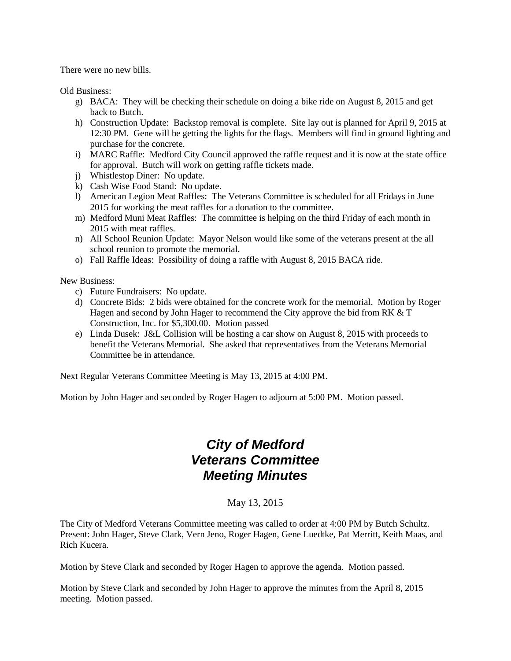There were no new bills.

Old Business:

- g) BACA: They will be checking their schedule on doing a bike ride on August 8, 2015 and get back to Butch.
- h) Construction Update: Backstop removal is complete. Site lay out is planned for April 9, 2015 at 12:30 PM. Gene will be getting the lights for the flags. Members will find in ground lighting and purchase for the concrete.
- i) MARC Raffle: Medford City Council approved the raffle request and it is now at the state office for approval. Butch will work on getting raffle tickets made.
- j) Whistlestop Diner: No update.
- k) Cash Wise Food Stand: No update.
- l) American Legion Meat Raffles: The Veterans Committee is scheduled for all Fridays in June 2015 for working the meat raffles for a donation to the committee.
- m) Medford Muni Meat Raffles: The committee is helping on the third Friday of each month in 2015 with meat raffles.
- n) All School Reunion Update: Mayor Nelson would like some of the veterans present at the all school reunion to promote the memorial.
- o) Fall Raffle Ideas: Possibility of doing a raffle with August 8, 2015 BACA ride.

New Business:

- c) Future Fundraisers: No update.
- d) Concrete Bids: 2 bids were obtained for the concrete work for the memorial. Motion by Roger Hagen and second by John Hager to recommend the City approve the bid from RK & T Construction, Inc. for \$5,300.00. Motion passed
- e) Linda Dusek: J&L Collision will be hosting a car show on August 8, 2015 with proceeds to benefit the Veterans Memorial. She asked that representatives from the Veterans Memorial Committee be in attendance.

Next Regular Veterans Committee Meeting is May 13, 2015 at 4:00 PM.

Motion by John Hager and seconded by Roger Hagen to adjourn at 5:00 PM. Motion passed.

#### *City of Medford Veterans Committee Meeting Minutes*

#### May 13, 2015

The City of Medford Veterans Committee meeting was called to order at 4:00 PM by Butch Schultz. Present: John Hager, Steve Clark, Vern Jeno, Roger Hagen, Gene Luedtke, Pat Merritt, Keith Maas, and Rich Kucera.

Motion by Steve Clark and seconded by Roger Hagen to approve the agenda. Motion passed.

Motion by Steve Clark and seconded by John Hager to approve the minutes from the April 8, 2015 meeting. Motion passed.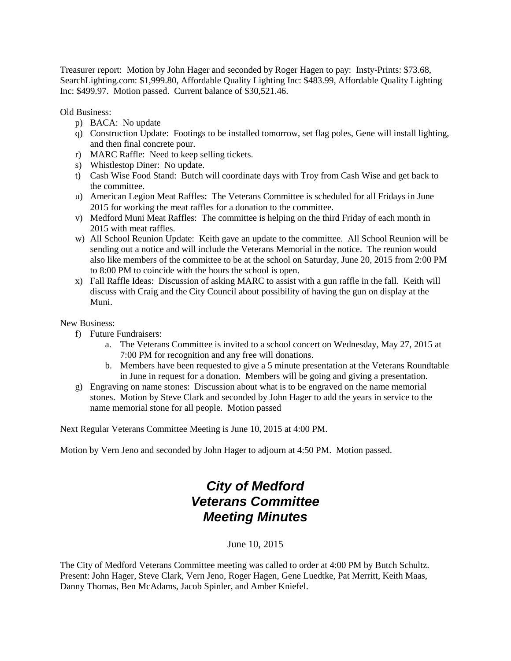Treasurer report: Motion by John Hager and seconded by Roger Hagen to pay: Insty-Prints: \$73.68, SearchLighting.com: \$1,999.80, Affordable Quality Lighting Inc: \$483.99, Affordable Quality Lighting Inc: \$499.97. Motion passed. Current balance of \$30,521.46.

Old Business:

- p) BACA: No update
- q) Construction Update: Footings to be installed tomorrow, set flag poles, Gene will install lighting, and then final concrete pour.
- r) MARC Raffle: Need to keep selling tickets.
- s) Whistlestop Diner: No update.
- t) Cash Wise Food Stand: Butch will coordinate days with Troy from Cash Wise and get back to the committee.
- u) American Legion Meat Raffles: The Veterans Committee is scheduled for all Fridays in June 2015 for working the meat raffles for a donation to the committee.
- v) Medford Muni Meat Raffles: The committee is helping on the third Friday of each month in 2015 with meat raffles.
- w) All School Reunion Update: Keith gave an update to the committee. All School Reunion will be sending out a notice and will include the Veterans Memorial in the notice. The reunion would also like members of the committee to be at the school on Saturday, June 20, 2015 from 2:00 PM to 8:00 PM to coincide with the hours the school is open.
- x) Fall Raffle Ideas: Discussion of asking MARC to assist with a gun raffle in the fall. Keith will discuss with Craig and the City Council about possibility of having the gun on display at the Muni.

New Business:

- f) Future Fundraisers:
	- a. The Veterans Committee is invited to a school concert on Wednesday, May 27, 2015 at 7:00 PM for recognition and any free will donations.
	- b. Members have been requested to give a 5 minute presentation at the Veterans Roundtable in June in request for a donation. Members will be going and giving a presentation.
- g) Engraving on name stones: Discussion about what is to be engraved on the name memorial stones. Motion by Steve Clark and seconded by John Hager to add the years in service to the name memorial stone for all people. Motion passed

Next Regular Veterans Committee Meeting is June 10, 2015 at 4:00 PM.

Motion by Vern Jeno and seconded by John Hager to adjourn at 4:50 PM. Motion passed.

## *City of Medford Veterans Committee Meeting Minutes*

#### June 10, 2015

The City of Medford Veterans Committee meeting was called to order at 4:00 PM by Butch Schultz. Present: John Hager, Steve Clark, Vern Jeno, Roger Hagen, Gene Luedtke, Pat Merritt, Keith Maas, Danny Thomas, Ben McAdams, Jacob Spinler, and Amber Kniefel.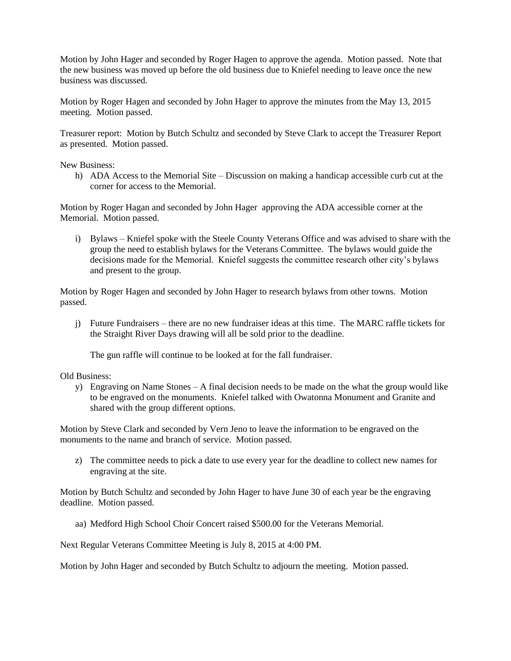Motion by John Hager and seconded by Roger Hagen to approve the agenda. Motion passed. Note that the new business was moved up before the old business due to Kniefel needing to leave once the new business was discussed.

Motion by Roger Hagen and seconded by John Hager to approve the minutes from the May 13, 2015 meeting. Motion passed.

Treasurer report: Motion by Butch Schultz and seconded by Steve Clark to accept the Treasurer Report as presented. Motion passed.

New Business:

h) ADA Access to the Memorial Site – Discussion on making a handicap accessible curb cut at the corner for access to the Memorial.

Motion by Roger Hagan and seconded by John Hager approving the ADA accessible corner at the Memorial. Motion passed.

i) Bylaws – Kniefel spoke with the Steele County Veterans Office and was advised to share with the group the need to establish bylaws for the Veterans Committee. The bylaws would guide the decisions made for the Memorial. Kniefel suggests the committee research other city's bylaws and present to the group.

Motion by Roger Hagen and seconded by John Hager to research bylaws from other towns. Motion passed.

j) Future Fundraisers – there are no new fundraiser ideas at this time. The MARC raffle tickets for the Straight River Days drawing will all be sold prior to the deadline.

The gun raffle will continue to be looked at for the fall fundraiser.

Old Business:

y) Engraving on Name Stones – A final decision needs to be made on the what the group would like to be engraved on the monuments. Kniefel talked with Owatonna Monument and Granite and shared with the group different options.

Motion by Steve Clark and seconded by Vern Jeno to leave the information to be engraved on the monuments to the name and branch of service. Motion passed.

z) The committee needs to pick a date to use every year for the deadline to collect new names for engraving at the site.

Motion by Butch Schultz and seconded by John Hager to have June 30 of each year be the engraving deadline. Motion passed.

aa) Medford High School Choir Concert raised \$500.00 for the Veterans Memorial.

Next Regular Veterans Committee Meeting is July 8, 2015 at 4:00 PM.

Motion by John Hager and seconded by Butch Schultz to adjourn the meeting. Motion passed.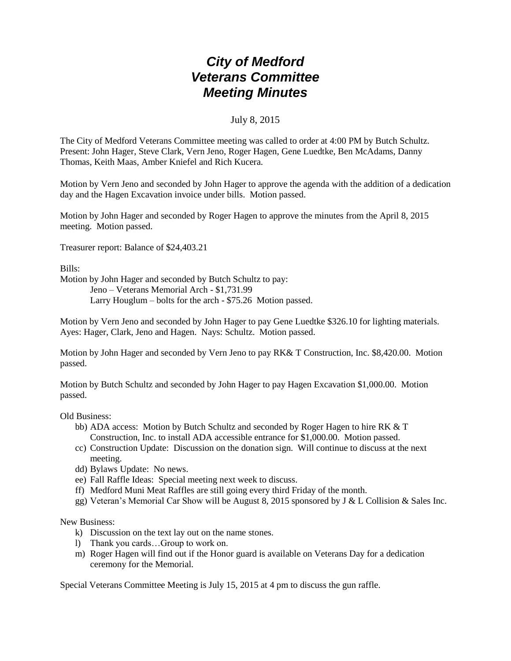July 8, 2015

The City of Medford Veterans Committee meeting was called to order at 4:00 PM by Butch Schultz. Present: John Hager, Steve Clark, Vern Jeno, Roger Hagen, Gene Luedtke, Ben McAdams, Danny Thomas, Keith Maas, Amber Kniefel and Rich Kucera.

Motion by Vern Jeno and seconded by John Hager to approve the agenda with the addition of a dedication day and the Hagen Excavation invoice under bills. Motion passed.

Motion by John Hager and seconded by Roger Hagen to approve the minutes from the April 8, 2015 meeting. Motion passed.

Treasurer report: Balance of \$24,403.21

Bills:

Motion by John Hager and seconded by Butch Schultz to pay: Jeno – Veterans Memorial Arch - \$1,731.99

Larry Houglum – bolts for the arch - \$75.26 Motion passed.

Motion by Vern Jeno and seconded by John Hager to pay Gene Luedtke \$326.10 for lighting materials. Ayes: Hager, Clark, Jeno and Hagen. Nays: Schultz. Motion passed.

Motion by John Hager and seconded by Vern Jeno to pay RK& T Construction, Inc. \$8,420.00. Motion passed.

Motion by Butch Schultz and seconded by John Hager to pay Hagen Excavation \$1,000.00. Motion passed.

Old Business:

- bb) ADA access: Motion by Butch Schultz and seconded by Roger Hagen to hire RK & T Construction, Inc. to install ADA accessible entrance for \$1,000.00. Motion passed.
- cc) Construction Update: Discussion on the donation sign. Will continue to discuss at the next meeting.
- dd) Bylaws Update: No news.
- ee) Fall Raffle Ideas: Special meeting next week to discuss.
- ff) Medford Muni Meat Raffles are still going every third Friday of the month.
- gg) Veteran's Memorial Car Show will be August 8, 2015 sponsored by J & L Collision & Sales Inc.

New Business:

- k) Discussion on the text lay out on the name stones.
- l) Thank you cards…Group to work on.
- m) Roger Hagen will find out if the Honor guard is available on Veterans Day for a dedication ceremony for the Memorial.

Special Veterans Committee Meeting is July 15, 2015 at 4 pm to discuss the gun raffle.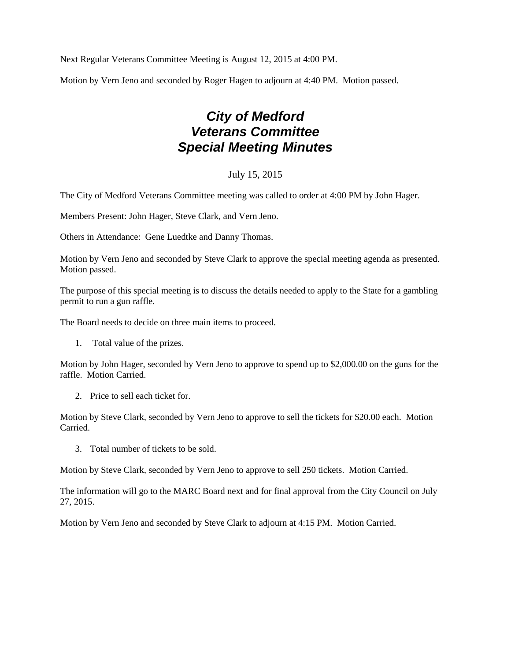Next Regular Veterans Committee Meeting is August 12, 2015 at 4:00 PM.

Motion by Vern Jeno and seconded by Roger Hagen to adjourn at 4:40 PM. Motion passed.

# *City of Medford Veterans Committee Special Meeting Minutes*

#### July 15, 2015

The City of Medford Veterans Committee meeting was called to order at 4:00 PM by John Hager.

Members Present: John Hager, Steve Clark, and Vern Jeno.

Others in Attendance: Gene Luedtke and Danny Thomas.

Motion by Vern Jeno and seconded by Steve Clark to approve the special meeting agenda as presented. Motion passed.

The purpose of this special meeting is to discuss the details needed to apply to the State for a gambling permit to run a gun raffle.

The Board needs to decide on three main items to proceed.

1. Total value of the prizes.

Motion by John Hager, seconded by Vern Jeno to approve to spend up to \$2,000.00 on the guns for the raffle. Motion Carried.

2. Price to sell each ticket for.

Motion by Steve Clark, seconded by Vern Jeno to approve to sell the tickets for \$20.00 each. Motion Carried.

3. Total number of tickets to be sold.

Motion by Steve Clark, seconded by Vern Jeno to approve to sell 250 tickets. Motion Carried.

The information will go to the MARC Board next and for final approval from the City Council on July 27, 2015.

Motion by Vern Jeno and seconded by Steve Clark to adjourn at 4:15 PM. Motion Carried.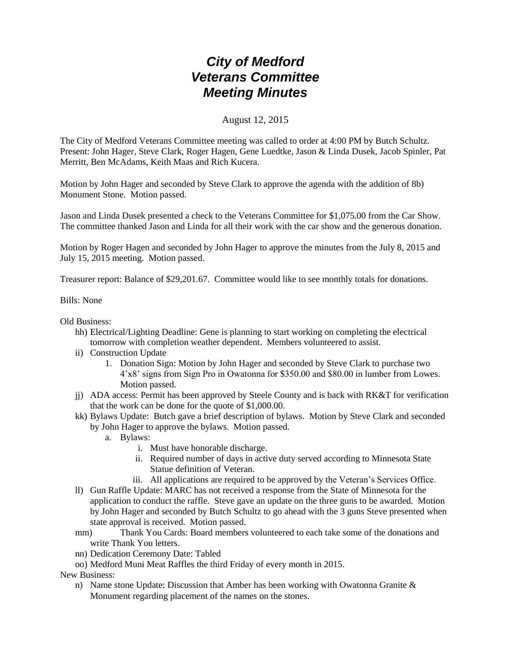August 12, 2015

The City of Medford Veterans Committee meeting was called to order at 4:00 PM by Butch Schultz. Present: John Hager, Steve Clark, Roger Hagen, Gene Luedtke, Jason & Linda Dusek, Jacob Spinler, Pat Merritt, Ben McAdams, Keith Maas and Rich Kucera.

Motion by John Hager and seconded by Steve Clark to approve the agenda with the addition of 8b) Monument Stone. Motion passed.

Jason and Linda Dusek presented a check to the Veterans Committee for \$1,075.00 from the Car Show. The committee thanked Jason and Linda for all their work with the car show and the generous donation.

Motion by Roger Hagen and seconded by John Hager to approve the minutes from the July 8, 2015 and July 15, 2015 meeting. Motion passed.

Treasurer report: Balance of \$29,201.67. Committee would like to see monthly totals for donations.

Bills: None

Old Business:

- hh) Electrical/Lighting Deadline: Gene is planning to start working on completing the electrical tomorrow with completion weather dependent. Members volunteered to assist.
- ii) Construction Update
	- 1. Donation Sign: Motion by John Hager and seconded by Steve Clark to purchase two 4'x8' signs from Sign Pro in Owatonna for \$350.00 and \$80.00 in lumber from Lowes. Motion passed.
- jj) ADA access: Permit has been approved by Steele County and is back with RK&T for verification that the work can be done for the quote of \$1,000.00.
- kk) Bylaws Update: Butch gave a brief description of bylaws. Motion by Steve Clark and seconded by John Hager to approve the bylaws. Motion passed.
	- a. Bylaws:
		- i. Must have honorable discharge.
		- ii. Required number of days in active duty served according to Minnesota State Statue definition of Veteran.
		- iii. All applications are required to be approved by the Veteran's Services Office.
- ll) Gun Raffle Update: MARC has not received a response from the State of Minnesota for the application to conduct the raffle. Steve gave an update on the three guns to be awarded. Motion by John Hager and seconded by Butch Schultz to go ahead with the 3 guns Steve presented when state approval is received. Motion passed.
- mm) Thank You Cards: Board members volunteered to each take some of the donations and write Thank You letters.
- nn) Dedication Ceremony Date: Tabled
- oo) Medford Muni Meat Raffles the third Friday of every month in 2015.

New Business:

n) Name stone Update: Discussion that Amber has been working with Owatonna Granite & Monument regarding placement of the names on the stones.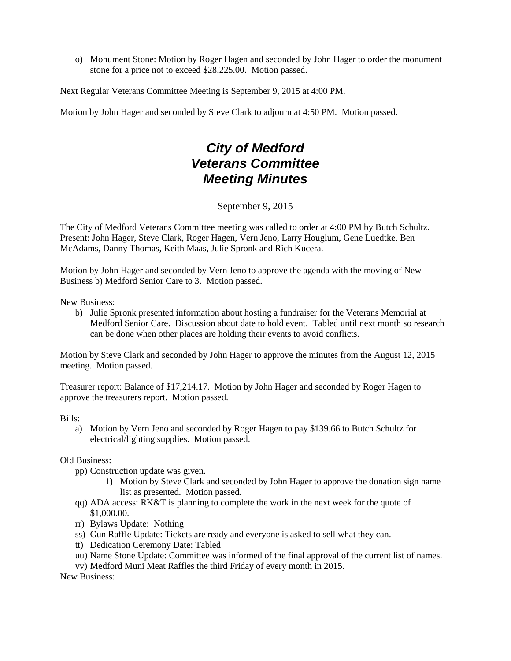o) Monument Stone: Motion by Roger Hagen and seconded by John Hager to order the monument stone for a price not to exceed \$28,225.00. Motion passed.

Next Regular Veterans Committee Meeting is September 9, 2015 at 4:00 PM.

Motion by John Hager and seconded by Steve Clark to adjourn at 4:50 PM. Motion passed.

# *City of Medford Veterans Committee Meeting Minutes*

September 9, 2015

The City of Medford Veterans Committee meeting was called to order at 4:00 PM by Butch Schultz. Present: John Hager, Steve Clark, Roger Hagen, Vern Jeno, Larry Houglum, Gene Luedtke, Ben McAdams, Danny Thomas, Keith Maas, Julie Spronk and Rich Kucera.

Motion by John Hager and seconded by Vern Jeno to approve the agenda with the moving of New Business b) Medford Senior Care to 3. Motion passed.

New Business:

b) Julie Spronk presented information about hosting a fundraiser for the Veterans Memorial at Medford Senior Care. Discussion about date to hold event. Tabled until next month so research can be done when other places are holding their events to avoid conflicts.

Motion by Steve Clark and seconded by John Hager to approve the minutes from the August 12, 2015 meeting. Motion passed.

Treasurer report: Balance of \$17,214.17. Motion by John Hager and seconded by Roger Hagen to approve the treasurers report. Motion passed.

Bills:

a) Motion by Vern Jeno and seconded by Roger Hagen to pay \$139.66 to Butch Schultz for electrical/lighting supplies. Motion passed.

Old Business:

- pp) Construction update was given.
	- 1) Motion by Steve Clark and seconded by John Hager to approve the donation sign name list as presented. Motion passed.
- qq) ADA access: RK&T is planning to complete the work in the next week for the quote of \$1,000.00.
- rr) Bylaws Update: Nothing
- ss) Gun Raffle Update: Tickets are ready and everyone is asked to sell what they can.
- tt) Dedication Ceremony Date: Tabled
- uu) Name Stone Update: Committee was informed of the final approval of the current list of names.
- vv) Medford Muni Meat Raffles the third Friday of every month in 2015.

New Business: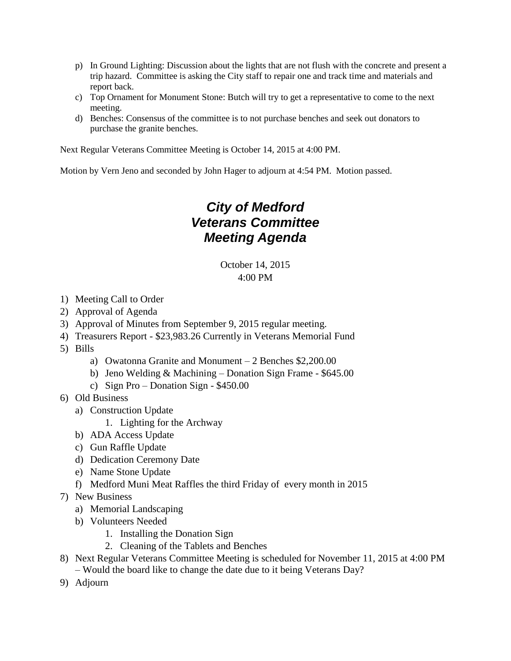- p) In Ground Lighting: Discussion about the lights that are not flush with the concrete and present a trip hazard. Committee is asking the City staff to repair one and track time and materials and report back.
- c) Top Ornament for Monument Stone: Butch will try to get a representative to come to the next meeting.
- d) Benches: Consensus of the committee is to not purchase benches and seek out donators to purchase the granite benches.

Next Regular Veterans Committee Meeting is October 14, 2015 at 4:00 PM.

Motion by Vern Jeno and seconded by John Hager to adjourn at 4:54 PM. Motion passed.

#### *City of Medford Veterans Committee Meeting Agenda*

October 14, 2015 4:00 PM

- 1) Meeting Call to Order
- 2) Approval of Agenda
- 3) Approval of Minutes from September 9, 2015 regular meeting.
- 4) Treasurers Report \$23,983.26 Currently in Veterans Memorial Fund
- 5) Bills
	- a) Owatonna Granite and Monument 2 Benches \$2,200.00
	- b) Jeno Welding & Machining Donation Sign Frame \$645.00
	- c) Sign Pro Donation Sign \$450.00
- 6) Old Business
	- a) Construction Update
		- 1. Lighting for the Archway
	- b) ADA Access Update
	- c) Gun Raffle Update
	- d) Dedication Ceremony Date
	- e) Name Stone Update
	- f) Medford Muni Meat Raffles the third Friday of every month in 2015
- 7) New Business
	- a) Memorial Landscaping
	- b) Volunteers Needed
		- 1. Installing the Donation Sign
		- 2. Cleaning of the Tablets and Benches
- 8) Next Regular Veterans Committee Meeting is scheduled for November 11, 2015 at 4:00 PM – Would the board like to change the date due to it being Veterans Day?
- 9) Adjourn